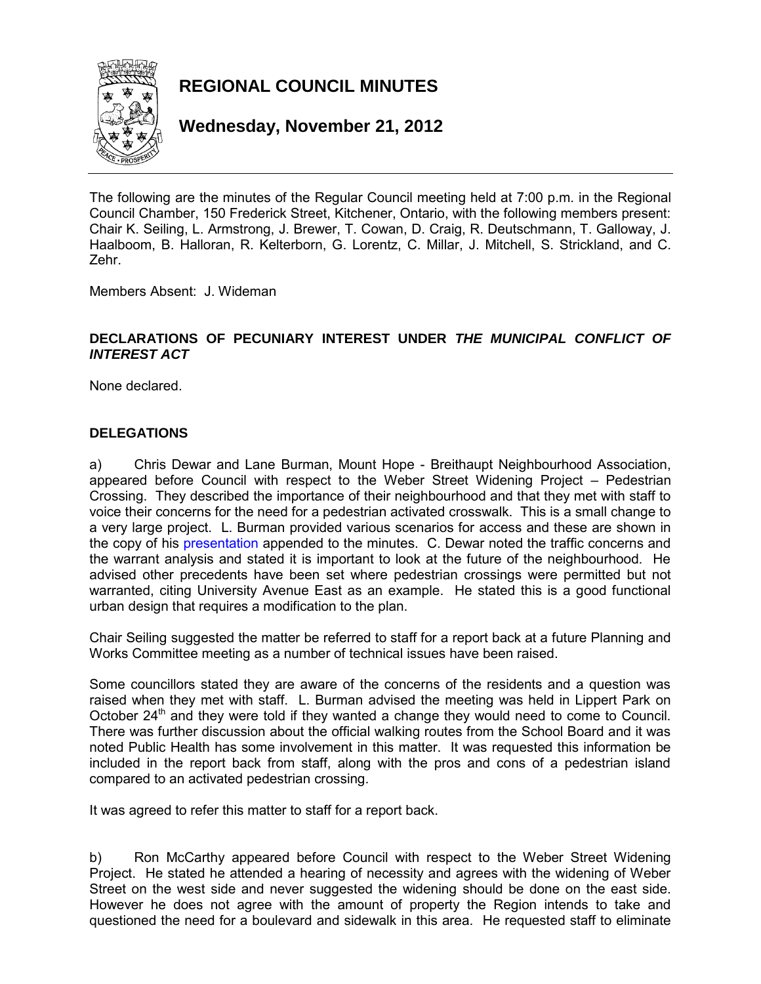

**REGIONAL COUNCIL MINUTES** 

**Wednesday, November 21, 2012** 

The following are the minutes of the Regular Council meeting held at 7:00 p.m. in the Regional Council Chamber, 150 Frederick Street, Kitchener, Ontario, with the following members present: Chair K. Seiling, L. Armstrong, J. Brewer, T. Cowan, D. Craig, R. Deutschmann, T. Galloway, J. Haalboom, B. Halloran, R. Kelterborn, G. Lorentz, C. Millar, J. Mitchell, S. Strickland, and C. Zehr.

Members Absent: J. Wideman

### **DECLARATIONS OF PECUNIARY INTEREST UNDER** *THE MUNICIPAL CONFLICT OF INTEREST ACT*

None declared.

### **DELEGATIONS**

a) Chris Dewar and Lane Burman, Mount Hope - Breithaupt Neighbourhood Association, appeared before Council with respect to the Weber Street Widening Project – Pedestrian Crossing. They described the importance of their neighbourhood and that they met with staff to voice their concerns for the need for a pedestrian activated crosswalk. This is a small change to a very large project. L. Burman provided various scenarios for access and these are shown in the copy of his [presentation a](#page-14-0)ppended to the minutes. C. Dewar noted the traffic concerns and the warrant analysis and stated it is important to look at the future of the neighbourhood. He advised other precedents have been set where pedestrian crossings were permitted but not warranted, citing University Avenue East as an example. He stated this is a good functional urban design that requires a modification to the plan.

Chair Seiling suggested the matter be referred to staff for a report back at a future Planning and Works Committee meeting as a number of technical issues have been raised.

Some councillors stated they are aware of the concerns of the residents and a question was raised when they met with staff. L. Burman advised the meeting was held in Lippert Park on October  $24<sup>th</sup>$  and they were told if they wanted a change they would need to come to Council. There was further discussion about the official walking routes from the School Board and it was noted Public Health has some involvement in this matter. It was requested this information be included in the report back from staff, along with the pros and cons of a pedestrian island compared to an activated pedestrian crossing.

It was agreed to refer this matter to staff for a report back.

b) Ron McCarthy appeared before Council with respect to the Weber Street Widening Project. He stated he attended a hearing of necessity and agrees with the widening of Weber Street on the west side and never suggested the widening should be done on the east side. However he does not agree with the amount of property the Region intends to take and questioned the need for a boulevard and sidewalk in this area. He requested staff to eliminate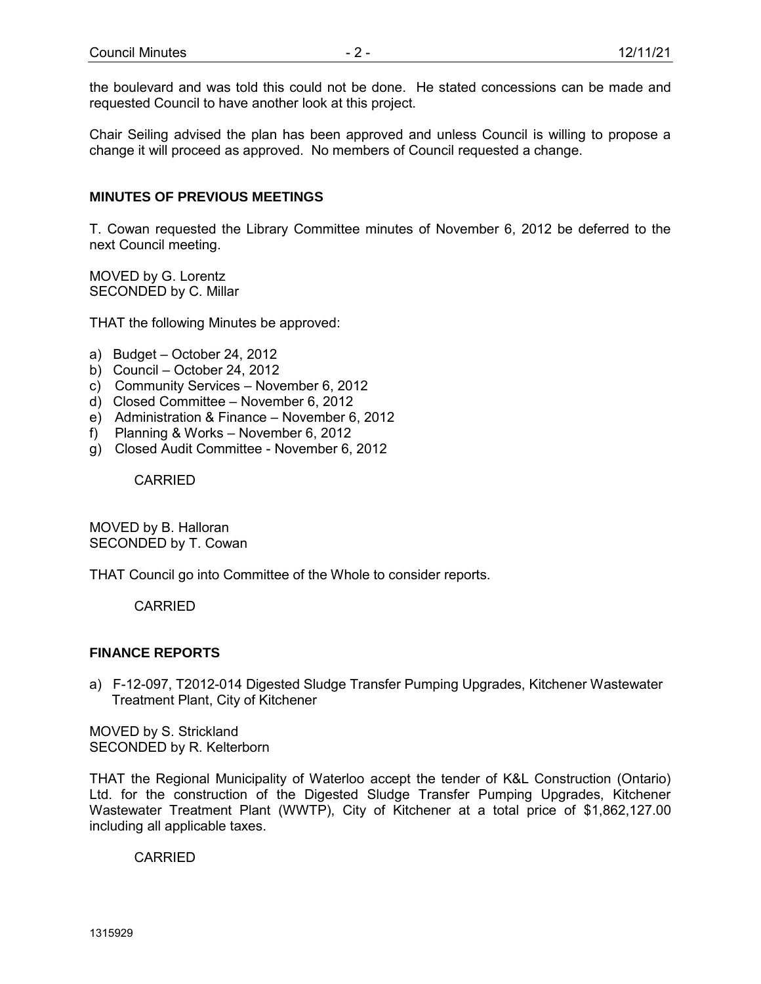the boulevard and was told this could not be done. He stated concessions can be made and requested Council to have another look at this project.

Chair Seiling advised the plan has been approved and unless Council is willing to propose a change it will proceed as approved. No members of Council requested a change.

### **MINUTES OF PREVIOUS MEETINGS**

T. Cowan requested the Library Committee minutes of November 6, 2012 be deferred to the next Council meeting.

MOVED by G. Lorentz SECONDED by C. Millar

THAT the following Minutes be approved:

- a) Budget October 24, 2012
- b) Council October 24, 2012
- c) Community Services November 6, 2012
- d) Closed Committee November 6, 2012
- e) Administration & Finance November 6, 2012
- f) Planning & Works November 6, 2012
- g) Closed Audit Committee November 6, 2012

CARRIED

MOVED by B. Halloran SECONDED by T. Cowan

THAT Council go into Committee of the Whole to consider reports.

CARRIED

### **FINANCE REPORTS**

a) F-12-097, T2012-014 Digested Sludge Transfer Pumping Upgrades, Kitchener Wastewater Treatment Plant, City of Kitchener

MOVED by S. Strickland SECONDED by R. Kelterborn

THAT the Regional Municipality of Waterloo accept the tender of K&L Construction (Ontario) Ltd. for the construction of the Digested Sludge Transfer Pumping Upgrades, Kitchener Wastewater Treatment Plant (WWTP), City of Kitchener at a total price of \$1,862,127.00 including all applicable taxes.

CARRIED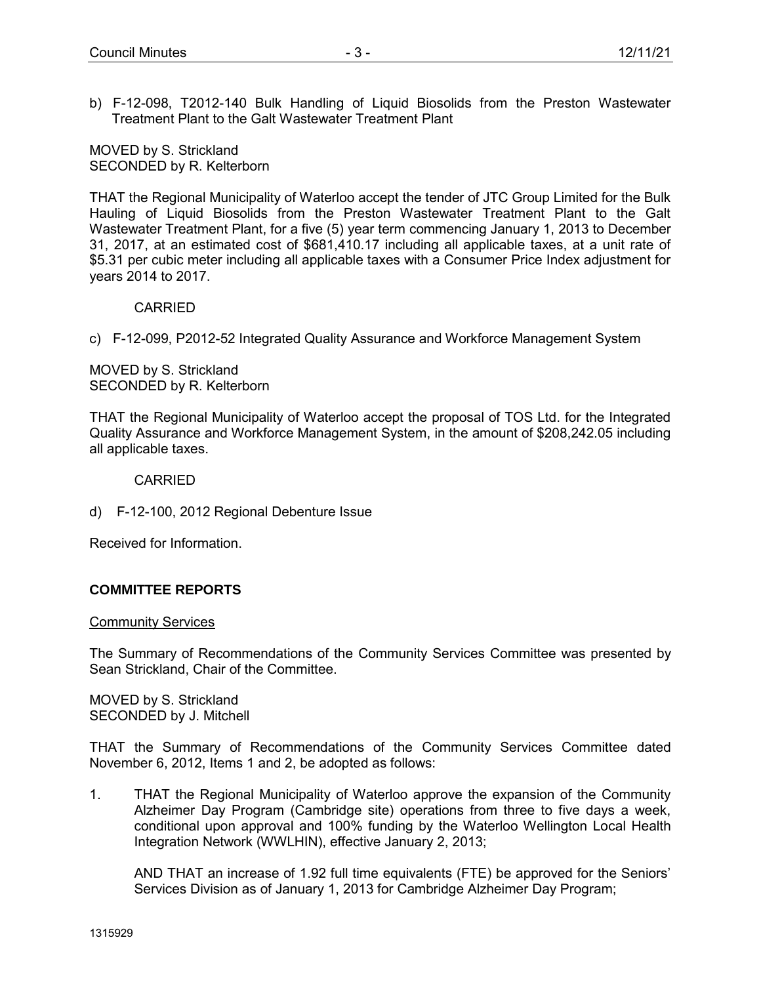b) F-12-098, T2012-140 Bulk Handling of Liquid Biosolids from the Preston Wastewater Treatment Plant to the Galt Wastewater Treatment Plant

MOVED by S. Strickland SECONDED by R. Kelterborn

THAT the Regional Municipality of Waterloo accept the tender of JTC Group Limited for the Bulk Hauling of Liquid Biosolids from the Preston Wastewater Treatment Plant to the Galt Wastewater Treatment Plant, for a five (5) year term commencing January 1, 2013 to December 31, 2017, at an estimated cost of \$681,410.17 including all applicable taxes, at a unit rate of \$5.31 per cubic meter including all applicable taxes with a Consumer Price Index adjustment for years 2014 to 2017.

#### CARRIED

c) F-12-099, P2012-52 Integrated Quality Assurance and Workforce Management System

MOVED by S. Strickland SECONDED by R. Kelterborn

THAT the Regional Municipality of Waterloo accept the proposal of TOS Ltd. for the Integrated Quality Assurance and Workforce Management System, in the amount of \$208,242.05 including all applicable taxes.

#### CARRIED

d) F-12-100, 2012 Regional Debenture Issue

Received for Information.

### **COMMITTEE REPORTS**

#### Community Services

The Summary of Recommendations of the Community Services Committee was presented by Sean Strickland, Chair of the Committee.

MOVED by S. Strickland SECONDED by J. Mitchell

THAT the Summary of Recommendations of the Community Services Committee dated November 6, 2012, Items 1 and 2, be adopted as follows:

1. THAT the Regional Municipality of Waterloo approve the expansion of the Community Alzheimer Day Program (Cambridge site) operations from three to five days a week, conditional upon approval and 100% funding by the Waterloo Wellington Local Health Integration Network (WWLHIN), effective January 2, 2013;

AND THAT an increase of 1.92 full time equivalents (FTE) be approved for the Seniors' Services Division as of January 1, 2013 for Cambridge Alzheimer Day Program;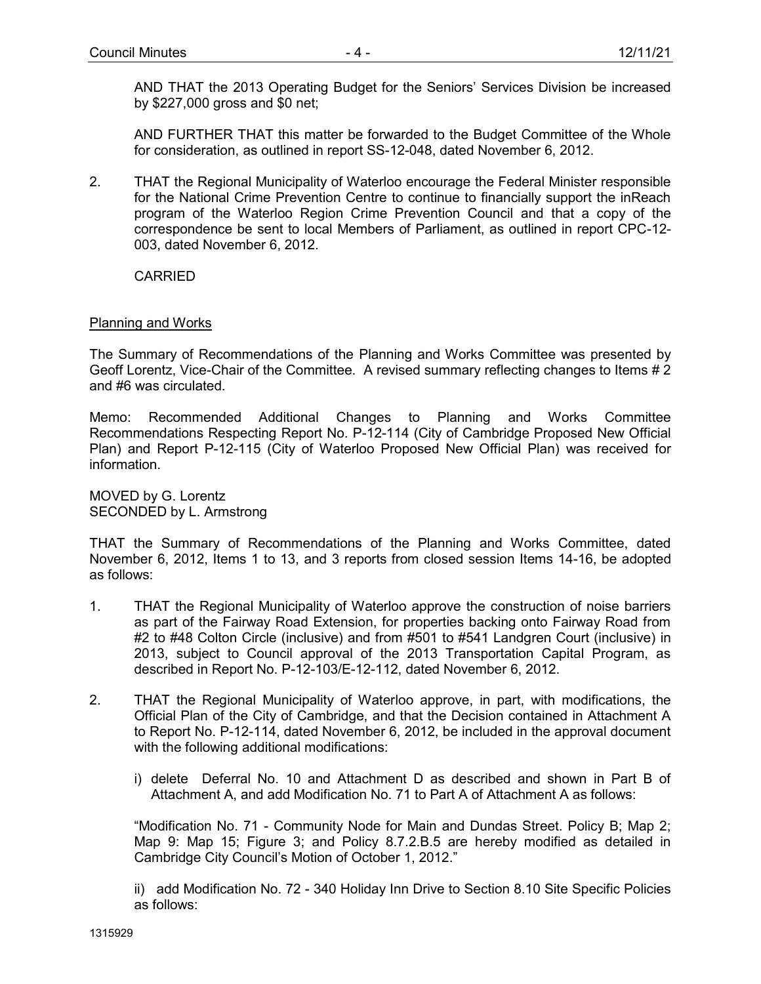AND THAT the 2013 Operating Budget for the Seniors' Services Division be increased by \$227,000 gross and \$0 net;

AND FURTHER THAT this matter be forwarded to the Budget Committee of the Whole for consideration, as outlined in report SS-12-048, dated November 6, 2012.

2. THAT the Regional Municipality of Waterloo encourage the Federal Minister responsible for the National Crime Prevention Centre to continue to financially support the inReach program of the Waterloo Region Crime Prevention Council and that a copy of the correspondence be sent to local Members of Parliament, as outlined in report CPC-12- 003, dated November 6, 2012.

CARRIED

### Planning and Works

The Summary of Recommendations of the Planning and Works Committee was presented by Geoff Lorentz, Vice-Chair of the Committee. A revised summary reflecting changes to Items # 2 and #6 was circulated.

Memo: Recommended Additional Changes to Planning and Works Committee Recommendations Respecting Report No. P-12-114 (City of Cambridge Proposed New Official Plan) and Report P-12-115 (City of Waterloo Proposed New Official Plan) was received for information.

MOVED by G. Lorentz SECONDED by L. Armstrong

THAT the Summary of Recommendations of the Planning and Works Committee, dated November 6, 2012, Items 1 to 13, and 3 reports from closed session Items 14-16, be adopted as follows:

- 1. THAT the Regional Municipality of Waterloo approve the construction of noise barriers as part of the Fairway Road Extension, for properties backing onto Fairway Road from #2 to #48 Colton Circle (inclusive) and from #501 to #541 Landgren Court (inclusive) in 2013, subject to Council approval of the 2013 Transportation Capital Program, as described in Report No. P-12-103/E-12-112, dated November 6, 2012.
- 2. THAT the Regional Municipality of Waterloo approve, in part, with modifications, the Official Plan of the City of Cambridge, and that the Decision contained in Attachment A to Report No. P-12-114, dated November 6, 2012, be included in the approval document with the following additional modifications:
	- i) delete Deferral No. 10 and Attachment D as described and shown in Part B of Attachment A, and add Modification No. 71 to Part A of Attachment A as follows:

"Modification No. 71 - Community Node for Main and Dundas Street. Policy B; Map 2; Map 9: Map 15; Figure 3; and Policy 8.7.2.B.5 are hereby modified as detailed in Cambridge City Council's Motion of October 1, 2012."

ii) add Modification No. 72 - 340 Holiday Inn Drive to Section 8.10 Site Specific Policies as follows: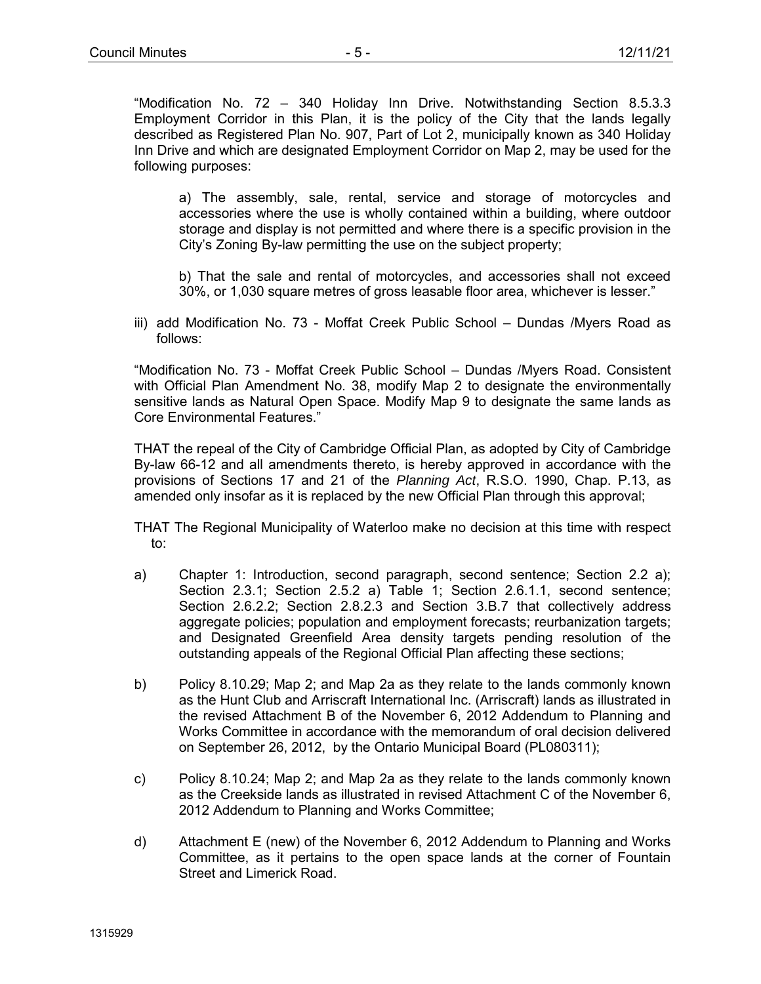"Modification No. 72 – 340 Holiday Inn Drive. Notwithstanding Section 8.5.3.3 Employment Corridor in this Plan, it is the policy of the City that the lands legally described as Registered Plan No. 907, Part of Lot 2, municipally known as 340 Holiday Inn Drive and which are designated Employment Corridor on Map 2, may be used for the following purposes:

a) The assembly, sale, rental, service and storage of motorcycles and accessories where the use is wholly contained within a building, where outdoor storage and display is not permitted and where there is a specific provision in the City's Zoning By-law permitting the use on the subject property;

b) That the sale and rental of motorcycles, and accessories shall not exceed 30%, or 1,030 square metres of gross leasable floor area, whichever is lesser."

iii) add Modification No. 73 - Moffat Creek Public School – Dundas /Myers Road as follows:

"Modification No. 73 - Moffat Creek Public School – Dundas /Myers Road. Consistent with Official Plan Amendment No. 38, modify Map 2 to designate the environmentally sensitive lands as Natural Open Space. Modify Map 9 to designate the same lands as Core Environmental Features."

THAT the repeal of the City of Cambridge Official Plan, as adopted by City of Cambridge By-law 66-12 and all amendments thereto, is hereby approved in accordance with the provisions of Sections 17 and 21 of the *Planning Act*, R.S.O. 1990, Chap. P.13, as amended only insofar as it is replaced by the new Official Plan through this approval;

THAT The Regional Municipality of Waterloo make no decision at this time with respect to:

- a) Chapter 1: Introduction, second paragraph, second sentence; Section 2.2 a); Section 2.3.1; Section 2.5.2 a) Table 1; Section 2.6.1.1, second sentence; Section 2.6.2.2; Section 2.8.2.3 and Section 3.B.7 that collectively address aggregate policies; population and employment forecasts; reurbanization targets; and Designated Greenfield Area density targets pending resolution of the outstanding appeals of the Regional Official Plan affecting these sections;
- b) Policy 8.10.29; Map 2; and Map 2a as they relate to the lands commonly known as the Hunt Club and Arriscraft International Inc. (Arriscraft) lands as illustrated in the revised Attachment B of the November 6, 2012 Addendum to Planning and Works Committee in accordance with the memorandum of oral decision delivered on September 26, 2012, by the Ontario Municipal Board (PL080311);
- c) Policy 8.10.24; Map 2; and Map 2a as they relate to the lands commonly known as the Creekside lands as illustrated in revised Attachment C of the November 6, 2012 Addendum to Planning and Works Committee;
- d) Attachment E (new) of the November 6, 2012 Addendum to Planning and Works Committee, as it pertains to the open space lands at the corner of Fountain Street and Limerick Road.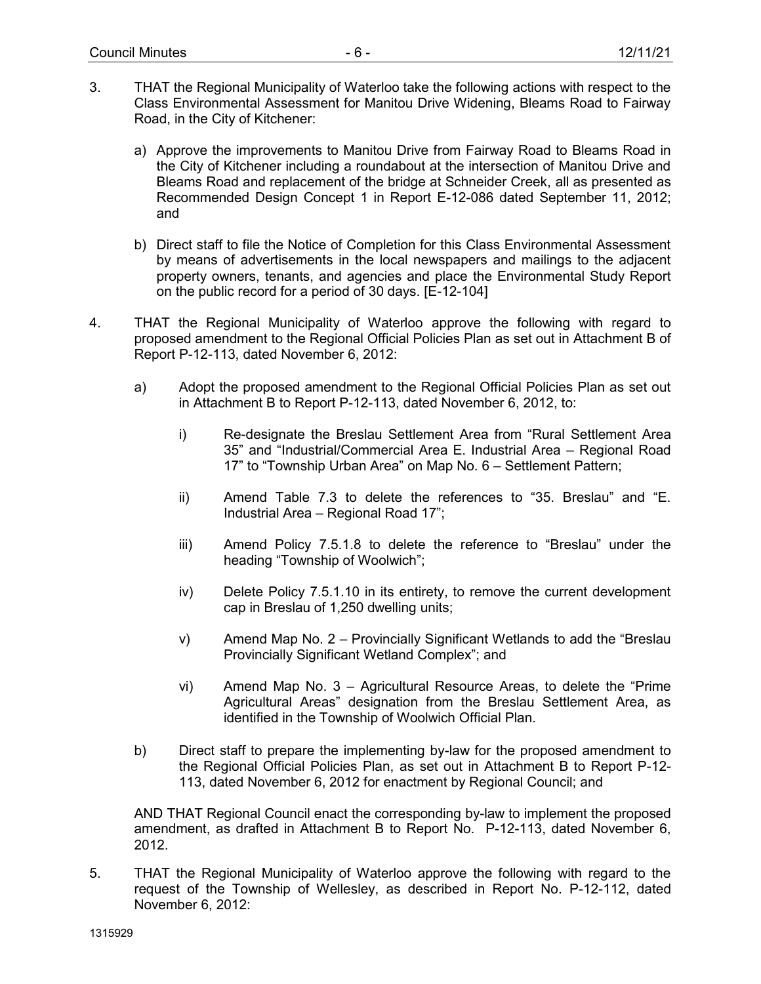- 3. THAT the Regional Municipality of Waterloo take the following actions with respect to the Class Environmental Assessment for Manitou Drive Widening, Bleams Road to Fairway Road, in the City of Kitchener:
	- a) Approve the improvements to Manitou Drive from Fairway Road to Bleams Road in the City of Kitchener including a roundabout at the intersection of Manitou Drive and Bleams Road and replacement of the bridge at Schneider Creek, all as presented as Recommended Design Concept 1 in Report E-12-086 dated September 11, 2012; and
	- b) Direct staff to file the Notice of Completion for this Class Environmental Assessment by means of advertisements in the local newspapers and mailings to the adjacent property owners, tenants, and agencies and place the Environmental Study Report on the public record for a period of 30 days. [E-12-104]
- 4. THAT the Regional Municipality of Waterloo approve the following with regard to proposed amendment to the Regional Official Policies Plan as set out in Attachment B of Report P-12-113, dated November 6, 2012:
	- a) Adopt the proposed amendment to the Regional Official Policies Plan as set out in Attachment B to Report P-12-113, dated November 6, 2012, to:
		- i) Re-designate the Breslau Settlement Area from "Rural Settlement Area 35" and "Industrial/Commercial Area E. Industrial Area – Regional Road 17" to "Township Urban Area" on Map No. 6 – Settlement Pattern;
		- ii) Amend Table 7.3 to delete the references to "35. Breslau" and "E. Industrial Area – Regional Road 17";
		- iii) Amend Policy 7.5.1.8 to delete the reference to "Breslau" under the heading "Township of Woolwich";
		- iv) Delete Policy 7.5.1.10 in its entirety, to remove the current development cap in Breslau of 1,250 dwelling units;
		- v) Amend Map No. 2 Provincially Significant Wetlands to add the "Breslau Provincially Significant Wetland Complex"; and
		- vi) Amend Map No. 3 Agricultural Resource Areas, to delete the "Prime Agricultural Areas" designation from the Breslau Settlement Area, as identified in the Township of Woolwich Official Plan.
	- b) Direct staff to prepare the implementing by-law for the proposed amendment to the Regional Official Policies Plan, as set out in Attachment B to Report P-12- 113, dated November 6, 2012 for enactment by Regional Council; and

AND THAT Regional Council enact the corresponding by-law to implement the proposed amendment, as drafted in Attachment B to Report No. P-12-113, dated November 6, 2012.

5. THAT the Regional Municipality of Waterloo approve the following with regard to the request of the Township of Wellesley, as described in Report No. P-12-112, dated November 6, 2012: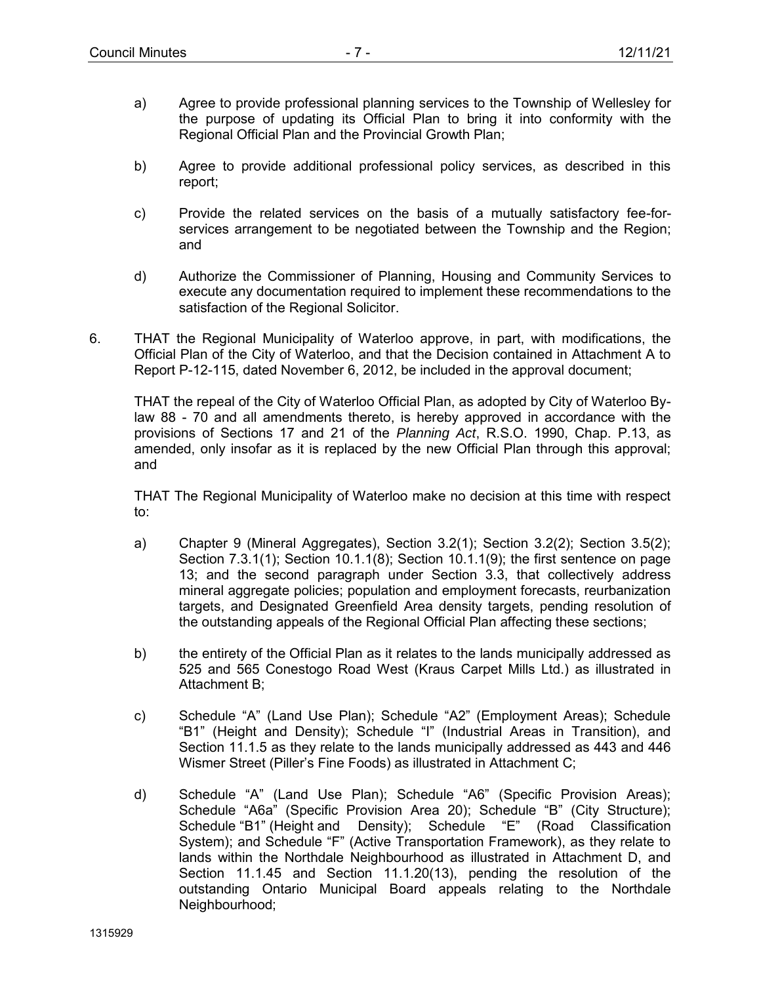- a) Agree to provide professional planning services to the Township of Wellesley for the purpose of updating its Official Plan to bring it into conformity with the Regional Official Plan and the Provincial Growth Plan;
- b) Agree to provide additional professional policy services, as described in this report;
- c) Provide the related services on the basis of a mutually satisfactory fee-forservices arrangement to be negotiated between the Township and the Region; and
- d) Authorize the Commissioner of Planning, Housing and Community Services to execute any documentation required to implement these recommendations to the satisfaction of the Regional Solicitor.
- 6. THAT the Regional Municipality of Waterloo approve, in part, with modifications, the Official Plan of the City of Waterloo, and that the Decision contained in Attachment A to Report P-12-115, dated November 6, 2012, be included in the approval document;

THAT the repeal of the City of Waterloo Official Plan, as adopted by City of Waterloo Bylaw 88 - 70 and all amendments thereto, is hereby approved in accordance with the provisions of Sections 17 and 21 of the *Planning Act*, R.S.O. 1990, Chap. P.13, as amended, only insofar as it is replaced by the new Official Plan through this approval; and

THAT The Regional Municipality of Waterloo make no decision at this time with respect to:

- a) Chapter 9 (Mineral Aggregates), Section 3.2(1); Section 3.2(2); Section 3.5(2); Section 7.3.1(1); Section 10.1.1(8); Section 10.1.1(9); the first sentence on page 13; and the second paragraph under Section 3.3, that collectively address mineral aggregate policies; population and employment forecasts, reurbanization targets, and Designated Greenfield Area density targets, pending resolution of the outstanding appeals of the Regional Official Plan affecting these sections;
- b) the entirety of the Official Plan as it relates to the lands municipally addressed as 525 and 565 Conestogo Road West (Kraus Carpet Mills Ltd.) as illustrated in Attachment B;
- c) Schedule "A" (Land Use Plan); Schedule "A2" (Employment Areas); Schedule "B1" (Height and Density); Schedule "I" (Industrial Areas in Transition), and Section 11.1.5 as they relate to the lands municipally addressed as 443 and 446 Wismer Street (Piller's Fine Foods) as illustrated in Attachment C;
- d) Schedule "A" (Land Use Plan); Schedule "A6" (Specific Provision Areas); Schedule "A6a" (Specific Provision Area 20); Schedule "B" (City Structure); Schedule "B1" (Height and Density); Schedule "E" (Road Classification System); and Schedule "F" (Active Transportation Framework), as they relate to lands within the Northdale Neighbourhood as illustrated in Attachment D, and Section 11.1.45 and Section 11.1.20(13), pending the resolution of the outstanding Ontario Municipal Board appeals relating to the Northdale Neighbourhood: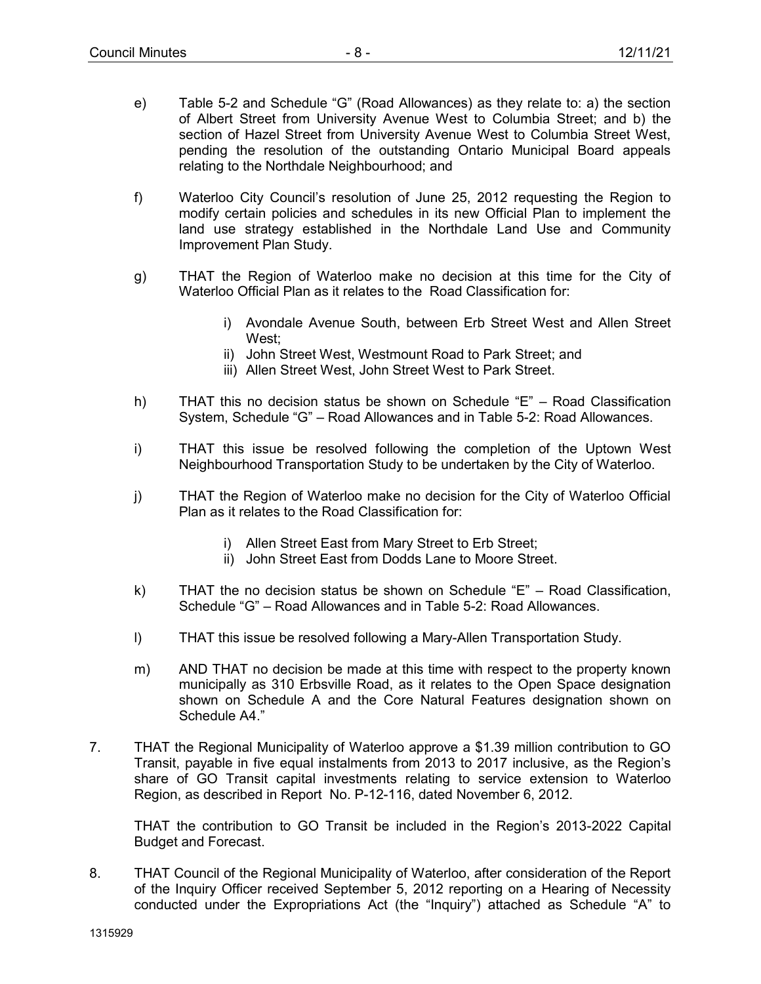- e) Table 5-2 and Schedule "G" (Road Allowances) as they relate to: a) the section of Albert Street from University Avenue West to Columbia Street; and b) the section of Hazel Street from University Avenue West to Columbia Street West, pending the resolution of the outstanding Ontario Municipal Board appeals relating to the Northdale Neighbourhood; and
- f) Waterloo City Council's resolution of June 25, 2012 requesting the Region to modify certain policies and schedules in its new Official Plan to implement the land use strategy established in the Northdale Land Use and Community Improvement Plan Study.
- g) THAT the Region of Waterloo make no decision at this time for the City of Waterloo Official Plan as it relates to the Road Classification for:
	- i) Avondale Avenue South, between Erb Street West and Allen Street West;
	- ii) John Street West, Westmount Road to Park Street; and
	- iii) Allen Street West, John Street West to Park Street.
- h) THAT this no decision status be shown on Schedule "E" Road Classification System, Schedule "G" – Road Allowances and in Table 5-2: Road Allowances.
- i) THAT this issue be resolved following the completion of the Uptown West Neighbourhood Transportation Study to be undertaken by the City of Waterloo.
- j) THAT the Region of Waterloo make no decision for the City of Waterloo Official Plan as it relates to the Road Classification for:
	- i) Allen Street East from Mary Street to Erb Street;
	- ii) John Street East from Dodds Lane to Moore Street.
- k) THAT the no decision status be shown on Schedule "E" Road Classification, Schedule "G" – Road Allowances and in Table 5-2: Road Allowances.
- l) THAT this issue be resolved following a Mary-Allen Transportation Study.
- m) AND THAT no decision be made at this time with respect to the property known municipally as 310 Erbsville Road, as it relates to the Open Space designation shown on Schedule A and the Core Natural Features designation shown on Schedule A4."
- 7. THAT the Regional Municipality of Waterloo approve a \$1.39 million contribution to GO Transit, payable in five equal instalments from 2013 to 2017 inclusive, as the Region's share of GO Transit capital investments relating to service extension to Waterloo Region, as described in Report No. P-12-116, dated November 6, 2012.

THAT the contribution to GO Transit be included in the Region's 2013-2022 Capital Budget and Forecast.

8. THAT Council of the Regional Municipality of Waterloo, after consideration of the Report of the Inquiry Officer received September 5, 2012 reporting on a Hearing of Necessity conducted under the Expropriations Act (the "Inquiry") attached as Schedule "A" to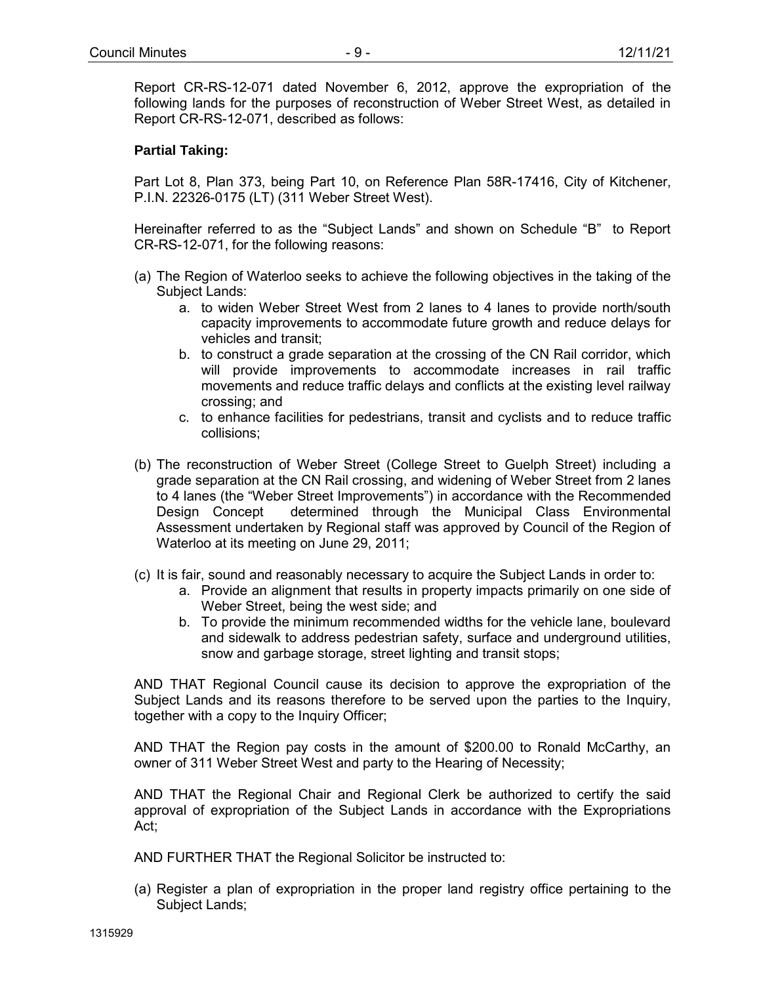Report CR-RS-12-071 dated November 6, 2012, approve the expropriation of the following lands for the purposes of reconstruction of Weber Street West, as detailed in Report CR-RS-12-071, described as follows:

## **Partial Taking:**

Part Lot 8, Plan 373, being Part 10, on Reference Plan 58R-17416, City of Kitchener, P.I.N. 22326-0175 (LT) (311 Weber Street West).

Hereinafter referred to as the "Subject Lands" and shown on Schedule "B" to Report CR-RS-12-071, for the following reasons:

- (a) The Region of Waterloo seeks to achieve the following objectives in the taking of the Subject Lands:
	- a. to widen Weber Street West from 2 lanes to 4 lanes to provide north/south capacity improvements to accommodate future growth and reduce delays for vehicles and transit;
	- b. to construct a grade separation at the crossing of the CN Rail corridor, which will provide improvements to accommodate increases in rail traffic movements and reduce traffic delays and conflicts at the existing level railway crossing; and
	- c. to enhance facilities for pedestrians, transit and cyclists and to reduce traffic collisions;
- (b) The reconstruction of Weber Street (College Street to Guelph Street) including a grade separation at the CN Rail crossing, and widening of Weber Street from 2 lanes to 4 lanes (the "Weber Street Improvements") in accordance with the Recommended Design Concept determined through the Municipal Class Environmental Assessment undertaken by Regional staff was approved by Council of the Region of Waterloo at its meeting on June 29, 2011;
- (c) It is fair, sound and reasonably necessary to acquire the Subject Lands in order to:
	- a. Provide an alignment that results in property impacts primarily on one side of Weber Street, being the west side; and
	- b. To provide the minimum recommended widths for the vehicle lane, boulevard and sidewalk to address pedestrian safety, surface and underground utilities, snow and garbage storage, street lighting and transit stops;

AND THAT Regional Council cause its decision to approve the expropriation of the Subject Lands and its reasons therefore to be served upon the parties to the Inquiry, together with a copy to the Inquiry Officer;

AND THAT the Region pay costs in the amount of \$200.00 to Ronald McCarthy, an owner of 311 Weber Street West and party to the Hearing of Necessity;

AND THAT the Regional Chair and Regional Clerk be authorized to certify the said approval of expropriation of the Subject Lands in accordance with the Expropriations Act;

AND FURTHER THAT the Regional Solicitor be instructed to:

(a) Register a plan of expropriation in the proper land registry office pertaining to the Subject Lands;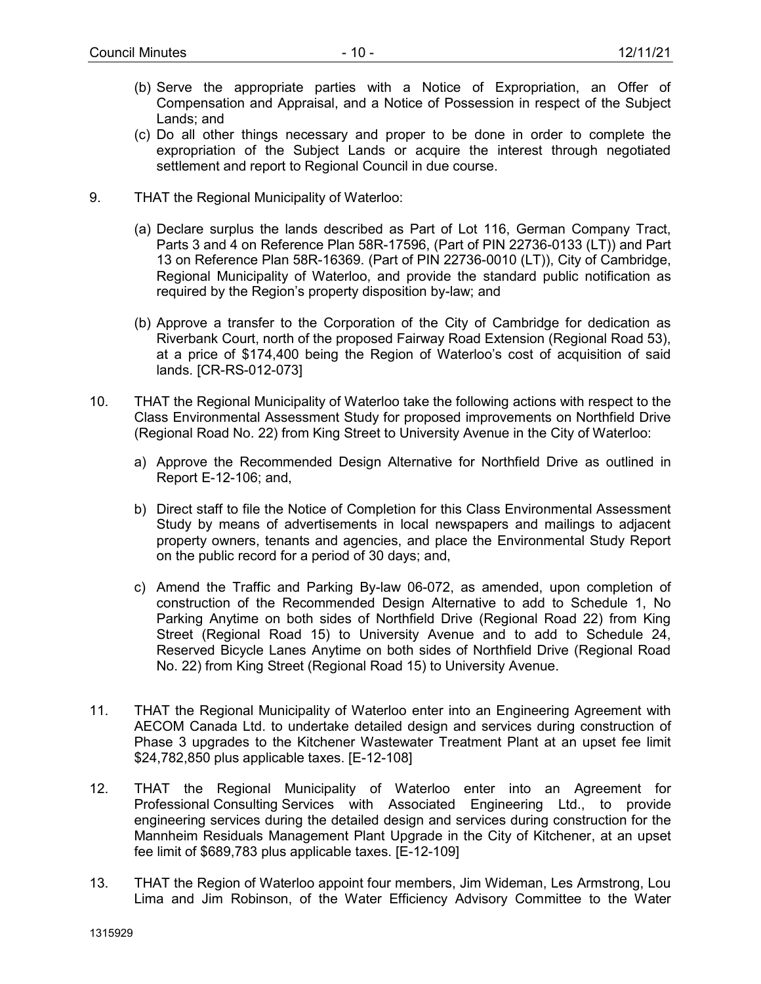- (b) Serve the appropriate parties with a Notice of Expropriation, an Offer of Compensation and Appraisal, and a Notice of Possession in respect of the Subject Lands; and
- (c) Do all other things necessary and proper to be done in order to complete the expropriation of the Subject Lands or acquire the interest through negotiated settlement and report to Regional Council in due course.
- 9. THAT the Regional Municipality of Waterloo:
	- (a) Declare surplus the lands described as Part of Lot 116, German Company Tract, Parts 3 and 4 on Reference Plan 58R-17596, (Part of PIN 22736-0133 (LT)) and Part 13 on Reference Plan 58R-16369. (Part of PIN 22736-0010 (LT)), City of Cambridge, Regional Municipality of Waterloo, and provide the standard public notification as required by the Region's property disposition by-law; and
	- (b) Approve a transfer to the Corporation of the City of Cambridge for dedication as Riverbank Court, north of the proposed Fairway Road Extension (Regional Road 53), at a price of \$174,400 being the Region of Waterloo's cost of acquisition of said lands. [CR-RS-012-073]
- 10. THAT the Regional Municipality of Waterloo take the following actions with respect to the Class Environmental Assessment Study for proposed improvements on Northfield Drive (Regional Road No. 22) from King Street to University Avenue in the City of Waterloo:
	- a) Approve the Recommended Design Alternative for Northfield Drive as outlined in Report E-12-106; and,
	- b) Direct staff to file the Notice of Completion for this Class Environmental Assessment Study by means of advertisements in local newspapers and mailings to adjacent property owners, tenants and agencies, and place the Environmental Study Report on the public record for a period of 30 days; and,
	- c) Amend the Traffic and Parking By-law 06-072, as amended, upon completion of construction of the Recommended Design Alternative to add to Schedule 1, No Parking Anytime on both sides of Northfield Drive (Regional Road 22) from King Street (Regional Road 15) to University Avenue and to add to Schedule 24, Reserved Bicycle Lanes Anytime on both sides of Northfield Drive (Regional Road No. 22) from King Street (Regional Road 15) to University Avenue.
- 11. THAT the Regional Municipality of Waterloo enter into an Engineering Agreement with AECOM Canada Ltd. to undertake detailed design and services during construction of Phase 3 upgrades to the Kitchener Wastewater Treatment Plant at an upset fee limit \$24,782,850 plus applicable taxes. [E-12-108]
- 12. THAT the Regional Municipality of Waterloo enter into an Agreement for Professional Consulting Services with Associated Engineering Ltd., to provide engineering services during the detailed design and services during construction for the Mannheim Residuals Management Plant Upgrade in the City of Kitchener, at an upset fee limit of \$689,783 plus applicable taxes. [E-12-109]
- 13. THAT the Region of Waterloo appoint four members, Jim Wideman, Les Armstrong, Lou Lima and Jim Robinson, of the Water Efficiency Advisory Committee to the Water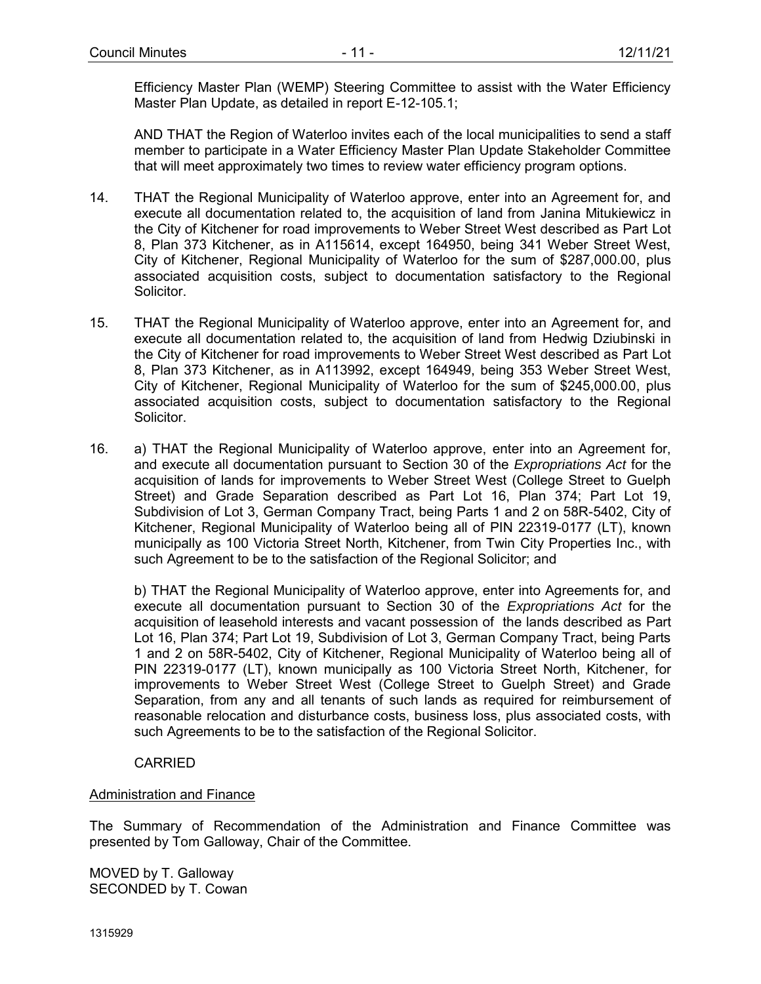Efficiency Master Plan (WEMP) Steering Committee to assist with the Water Efficiency Master Plan Update, as detailed in report E-12-105.1;

AND THAT the Region of Waterloo invites each of the local municipalities to send a staff member to participate in a Water Efficiency Master Plan Update Stakeholder Committee that will meet approximately two times to review water efficiency program options.

- 14. THAT the Regional Municipality of Waterloo approve, enter into an Agreement for, and execute all documentation related to, the acquisition of land from Janina Mitukiewicz in the City of Kitchener for road improvements to Weber Street West described as Part Lot 8, Plan 373 Kitchener, as in A115614, except 164950, being 341 Weber Street West, City of Kitchener, Regional Municipality of Waterloo for the sum of \$287,000.00, plus associated acquisition costs, subject to documentation satisfactory to the Regional Solicitor.
- 15. THAT the Regional Municipality of Waterloo approve, enter into an Agreement for, and execute all documentation related to, the acquisition of land from Hedwig Dziubinski in the City of Kitchener for road improvements to Weber Street West described as Part Lot 8, Plan 373 Kitchener, as in A113992, except 164949, being 353 Weber Street West, City of Kitchener, Regional Municipality of Waterloo for the sum of \$245,000.00, plus associated acquisition costs, subject to documentation satisfactory to the Regional Solicitor.
- 16. a) THAT the Regional Municipality of Waterloo approve, enter into an Agreement for, and execute all documentation pursuant to Section 30 of the *Expropriations Act* for the acquisition of lands for improvements to Weber Street West (College Street to Guelph Street) and Grade Separation described as Part Lot 16, Plan 374; Part Lot 19, Subdivision of Lot 3, German Company Tract, being Parts 1 and 2 on 58R-5402, City of Kitchener, Regional Municipality of Waterloo being all of PIN 22319-0177 (LT), known municipally as 100 Victoria Street North, Kitchener, from Twin City Properties Inc., with such Agreement to be to the satisfaction of the Regional Solicitor; and

b) THAT the Regional Municipality of Waterloo approve, enter into Agreements for, and execute all documentation pursuant to Section 30 of the *Expropriations Act* for the acquisition of leasehold interests and vacant possession of the lands described as Part Lot 16, Plan 374; Part Lot 19, Subdivision of Lot 3, German Company Tract, being Parts 1 and 2 on 58R-5402, City of Kitchener, Regional Municipality of Waterloo being all of PIN 22319-0177 (LT), known municipally as 100 Victoria Street North, Kitchener, for improvements to Weber Street West (College Street to Guelph Street) and Grade Separation, from any and all tenants of such lands as required for reimbursement of reasonable relocation and disturbance costs, business loss, plus associated costs, with such Agreements to be to the satisfaction of the Regional Solicitor.

### CARRIED

#### Administration and Finance

The Summary of Recommendation of the Administration and Finance Committee was presented by Tom Galloway, Chair of the Committee.

MOVED by T. Galloway SECONDED by T. Cowan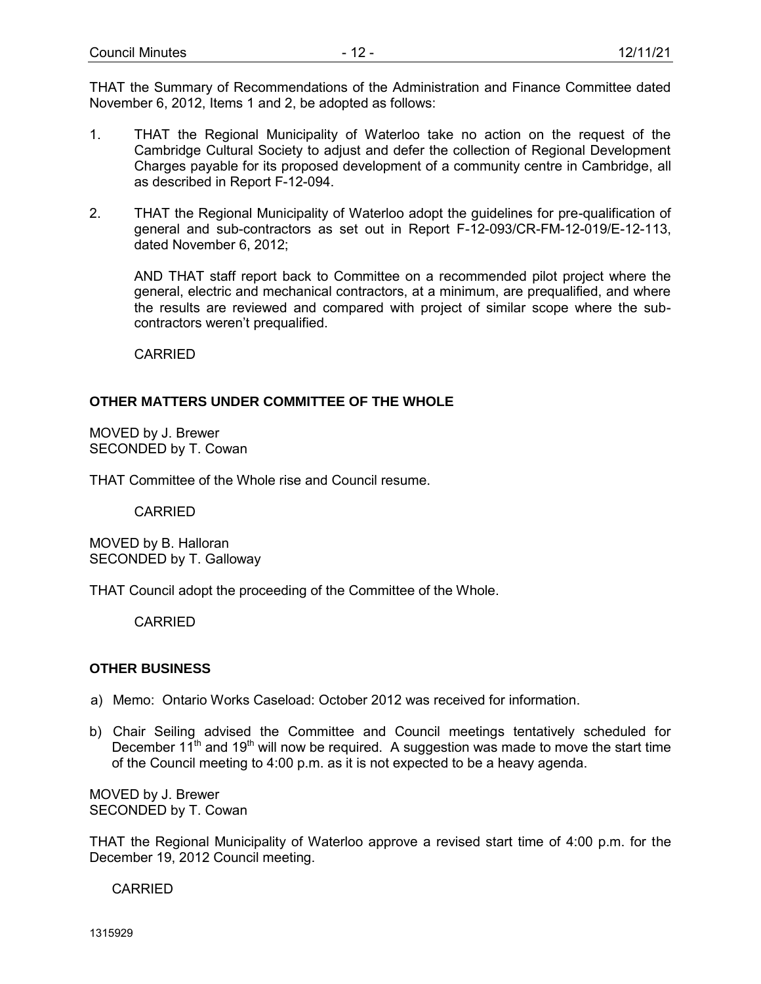THAT the Summary of Recommendations of the Administration and Finance Committee dated November 6, 2012, Items 1 and 2, be adopted as follows:

- 1. THAT the Regional Municipality of Waterloo take no action on the request of the Cambridge Cultural Society to adjust and defer the collection of Regional Development Charges payable for its proposed development of a community centre in Cambridge, all as described in Report F-12-094.
- 2. THAT the Regional Municipality of Waterloo adopt the guidelines for pre-qualification of general and sub-contractors as set out in Report F-12-093/CR-FM-12-019/E-12-113, dated November 6, 2012;

AND THAT staff report back to Committee on a recommended pilot project where the general, electric and mechanical contractors, at a minimum, are prequalified, and where the results are reviewed and compared with project of similar scope where the subcontractors weren't prequalified.

CARRIED

# **OTHER MATTERS UNDER COMMITTEE OF THE WHOLE**

MOVED by J. Brewer SECONDED by T. Cowan

THAT Committee of the Whole rise and Council resume.

CARRIED

MOVED by B. Halloran SECONDED by T. Galloway

THAT Council adopt the proceeding of the Committee of the Whole.

**CARRIED** 

### **OTHER BUSINESS**

- a) Memo: Ontario Works Caseload: October 2012 was received for information.
- b) Chair Seiling advised the Committee and Council meetings tentatively scheduled for December  $11<sup>th</sup>$  and  $19<sup>th</sup>$  will now be required. A suggestion was made to move the start time of the Council meeting to 4:00 p.m. as it is not expected to be a heavy agenda.

MOVED by J. Brewer SECONDED by T. Cowan

THAT the Regional Municipality of Waterloo approve a revised start time of 4:00 p.m. for the December 19, 2012 Council meeting.

CARRIED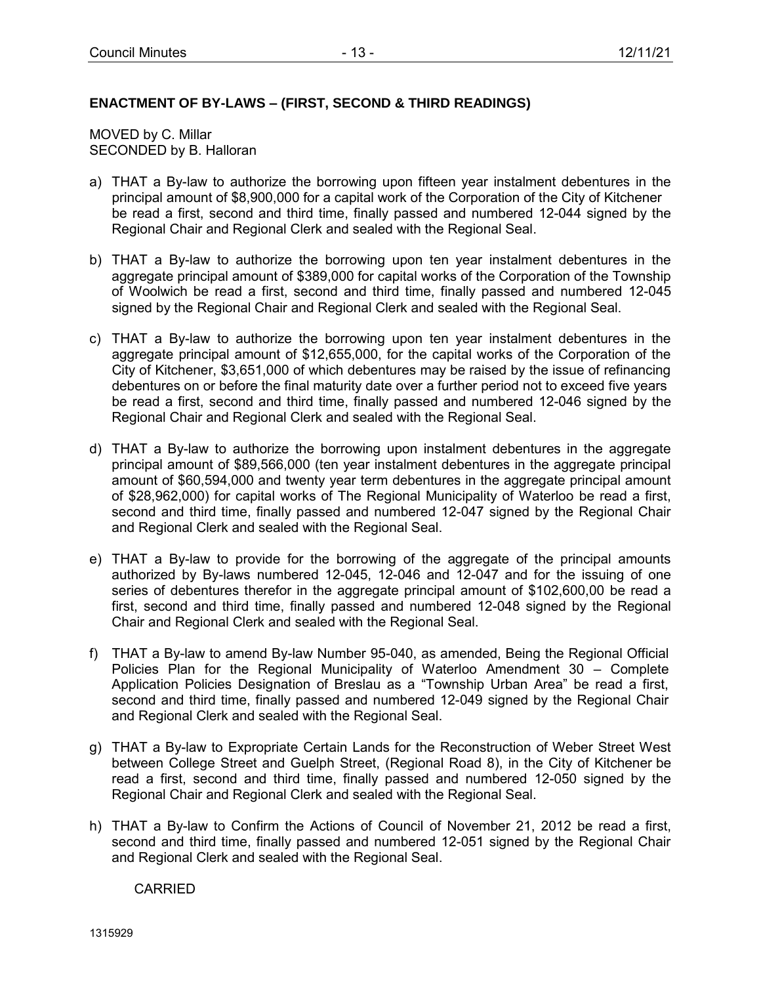## **ENACTMENT OF BY-LAWS – (FIRST, SECOND & THIRD READINGS)**

MOVED by C. Millar SECONDED by B. Halloran

- a) THAT a By-law to authorize the borrowing upon fifteen year instalment debentures in the principal amount of \$8,900,000 for a capital work of the Corporation of the City of Kitchener be read a first, second and third time, finally passed and numbered 12-044 signed by the Regional Chair and Regional Clerk and sealed with the Regional Seal.
- b) THAT a By-law to authorize the borrowing upon ten year instalment debentures in the aggregate principal amount of \$389,000 for capital works of the Corporation of the Township of Woolwich be read a first, second and third time, finally passed and numbered 12-045 signed by the Regional Chair and Regional Clerk and sealed with the Regional Seal.
- c) THAT a By-law to authorize the borrowing upon ten year instalment debentures in the aggregate principal amount of \$12,655,000, for the capital works of the Corporation of the City of Kitchener, \$3,651,000 of which debentures may be raised by the issue of refinancing debentures on or before the final maturity date over a further period not to exceed five years be read a first, second and third time, finally passed and numbered 12-046 signed by the Regional Chair and Regional Clerk and sealed with the Regional Seal.
- d) THAT a By-law to authorize the borrowing upon instalment debentures in the aggregate principal amount of \$89,566,000 (ten year instalment debentures in the aggregate principal amount of \$60,594,000 and twenty year term debentures in the aggregate principal amount of \$28,962,000) for capital works of The Regional Municipality of Waterloo be read a first, second and third time, finally passed and numbered 12-047 signed by the Regional Chair and Regional Clerk and sealed with the Regional Seal.
- e) THAT a By-law to provide for the borrowing of the aggregate of the principal amounts authorized by By-laws numbered 12-045, 12-046 and 12-047 and for the issuing of one series of debentures therefor in the aggregate principal amount of \$102,600,00 be read a first, second and third time, finally passed and numbered 12-048 signed by the Regional Chair and Regional Clerk and sealed with the Regional Seal.
- f) THAT a By-law to amend By-law Number 95-040, as amended, Being the Regional Official Policies Plan for the Regional Municipality of Waterloo Amendment 30 – Complete Application Policies Designation of Breslau as a "Township Urban Area" be read a first, second and third time, finally passed and numbered 12-049 signed by the Regional Chair and Regional Clerk and sealed with the Regional Seal.
- g) THAT a By-law to Expropriate Certain Lands for the Reconstruction of Weber Street West between College Street and Guelph Street, (Regional Road 8), in the City of Kitchener be read a first, second and third time, finally passed and numbered 12-050 signed by the Regional Chair and Regional Clerk and sealed with the Regional Seal.
- h) THAT a By-law to Confirm the Actions of Council of November 21, 2012 be read a first, second and third time, finally passed and numbered 12-051 signed by the Regional Chair and Regional Clerk and sealed with the Regional Seal.

CARRIED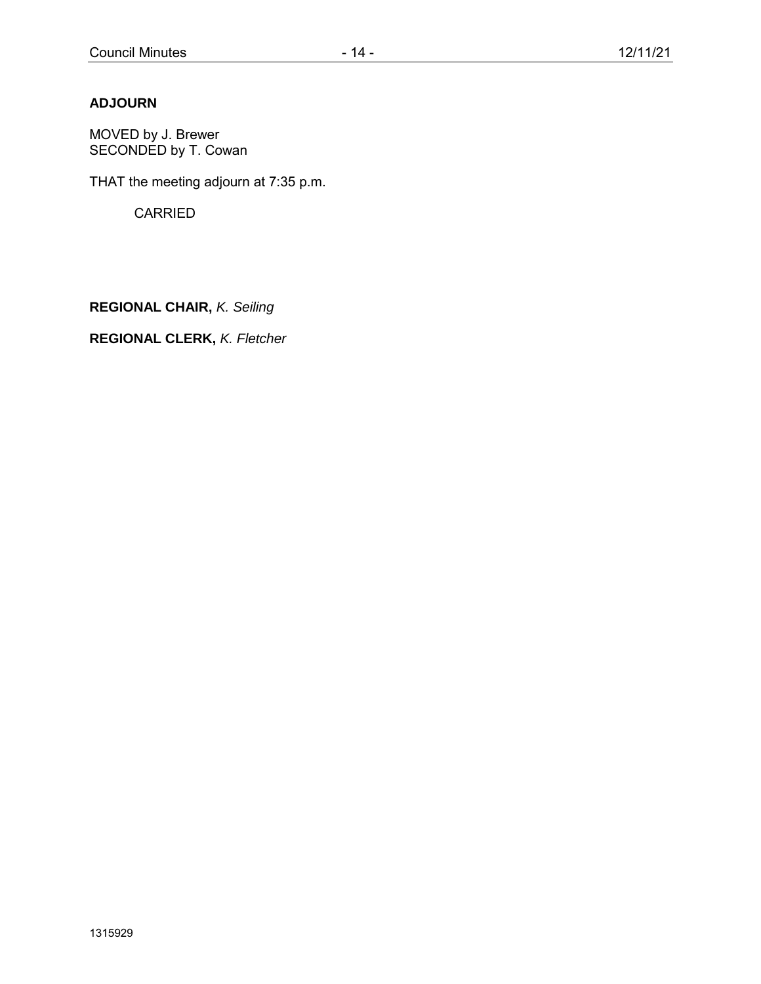# **ADJOURN**

MOVED by J. Brewer SECONDED by T. Cowan

THAT the meeting adjourn at 7:35 p.m.

**CARRIED** 

**REGIONAL CHAIR,** *K. Seiling*

**REGIONAL CLERK,** *K. Fletcher*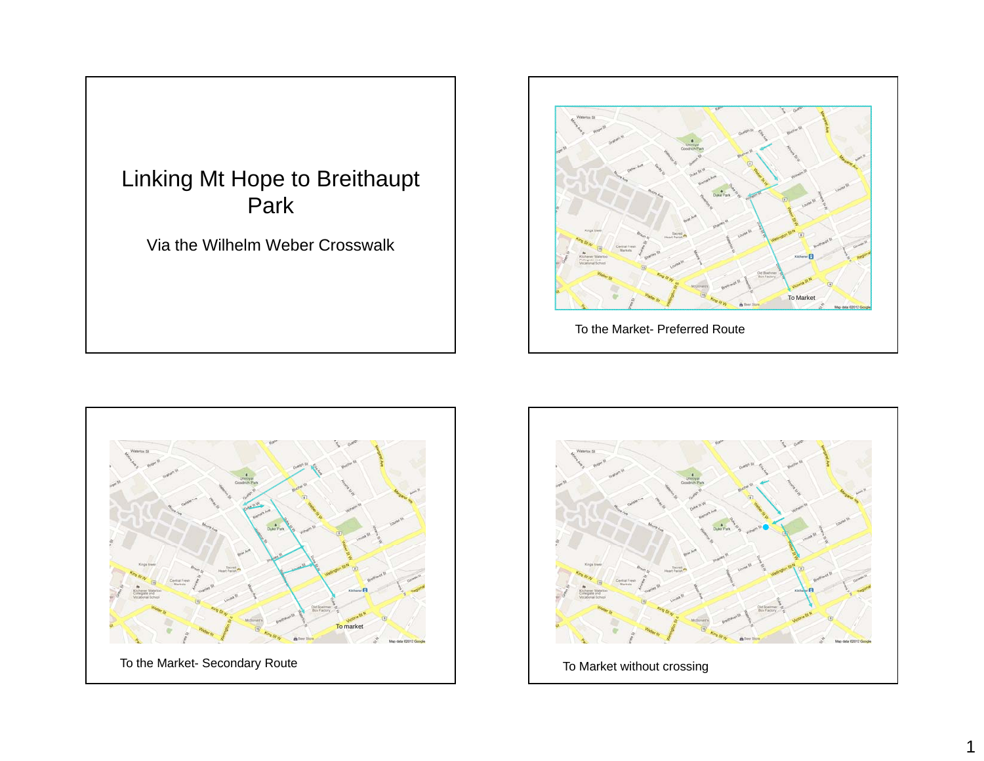<span id="page-14-0"></span>





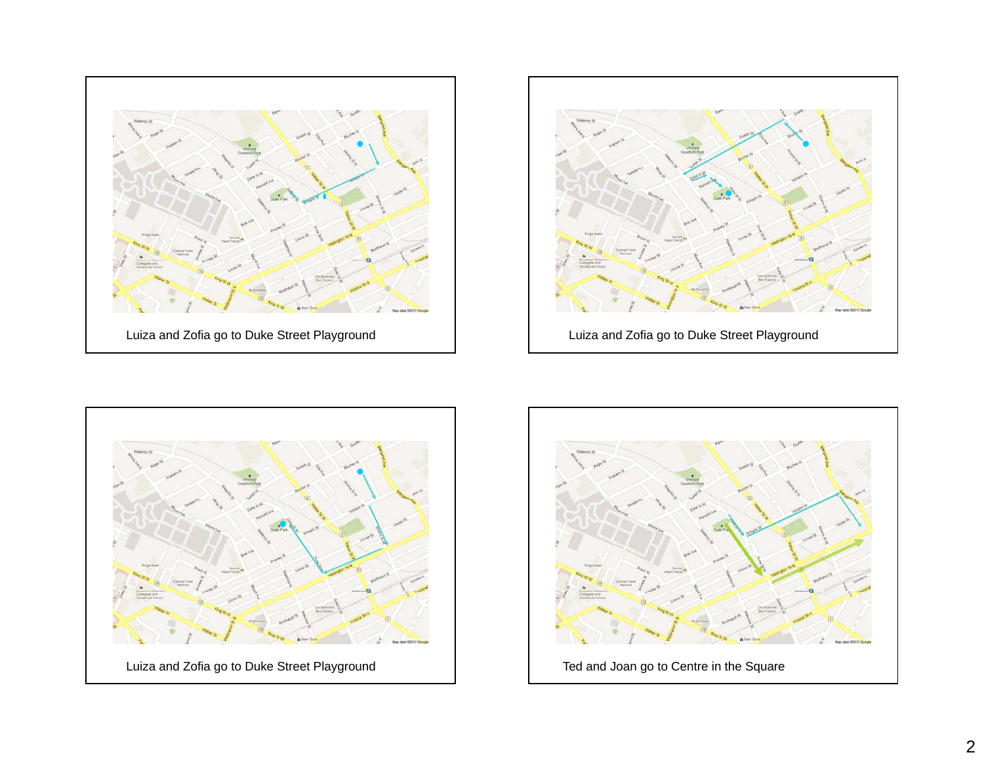





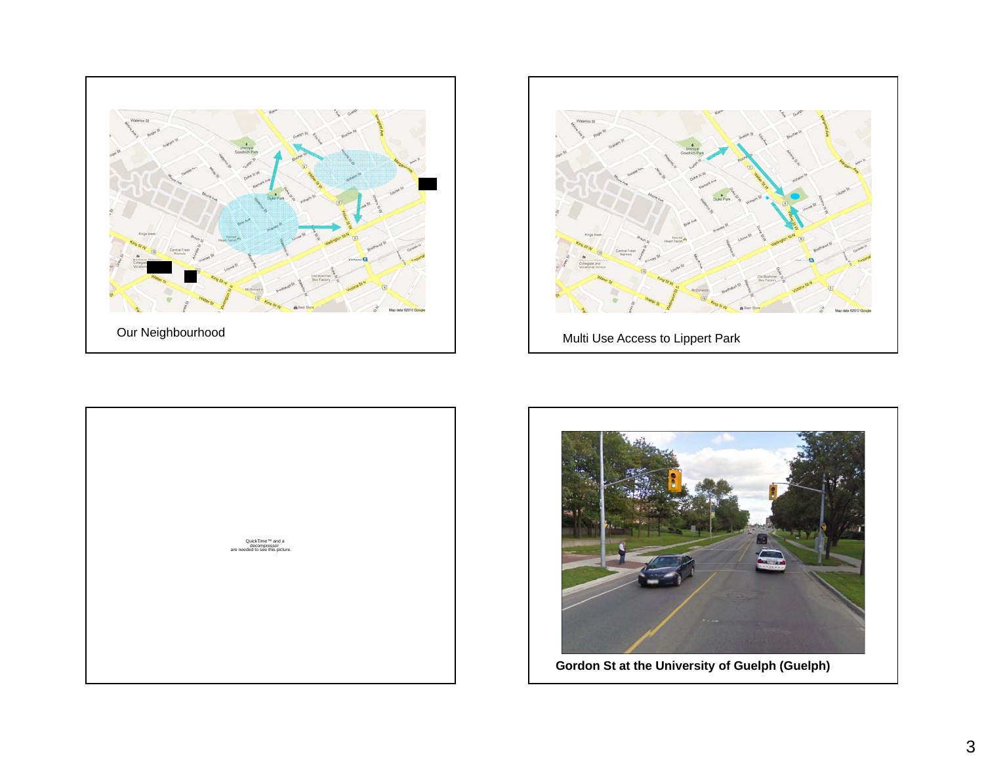







3